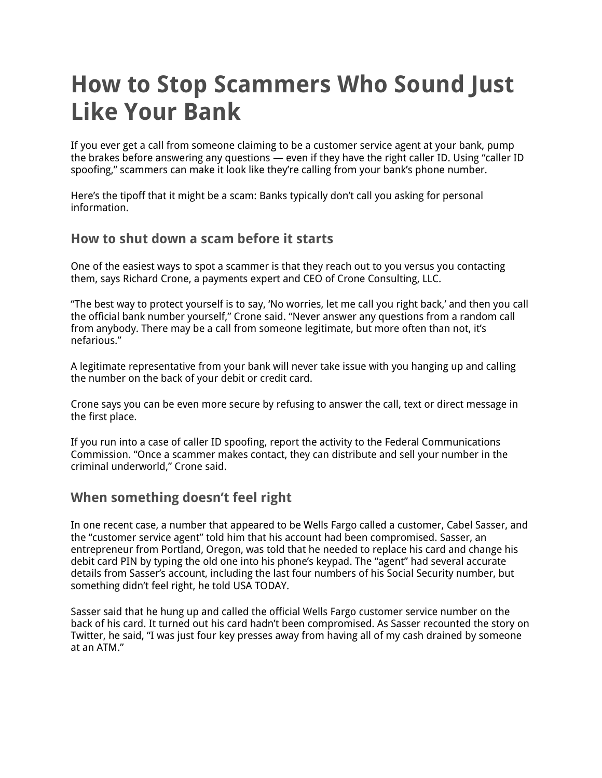## **How to Stop Scammers Who Sound Just Like Your Bank**

If you ever get a call from someone claiming to be a customer service agent at your bank, pump the brakes before answering any questions — even if they have the right caller ID. Using "caller ID spoofing," scammers can make it look like they're calling from your bank's phone number.

Here's the tipoff that it might be a scam: Banks typically don't call you asking for personal information.

## **How to shut down a scam before it starts**

One of the easiest ways to spot a scammer is that they reach out to you versus you contacting them, says Richard Crone, a payments expert and CEO of Crone Consulting, LLC.

"The best way to protect yourself is to say, 'No worries, let me call you right back,' and then you call the official bank number yourself," Crone said. "Never answer any questions from a random call from anybody. There may be a call from someone legitimate, but more often than not, it's nefarious."

A legitimate representative from your bank will never take issue with you hanging up and calling the number on the back of your debit or credit card.

Crone says you can be even more secure by refusing to answer the call, text or direct message in the first place.

If you run into a case of caller ID spoofing, [report the activity to the Federal Communications](https://consumercomplaints.fcc.gov/hc/en-us/requests/new?ticket_form_id=39744)  [Commission](https://consumercomplaints.fcc.gov/hc/en-us/requests/new?ticket_form_id=39744). "Once a scammer makes contact, they can distribute and sell your number in the criminal underworld," Crone said.

## **When something doesn't feel right**

[In one recent case,](https://www.usatoday.com/story/money/2018/09/27/phone-scams-atm-card-fraud-wells-fargo/1430261002/) a number that appeared to be Wells Fargo called a customer, Cabel Sasser, and the "customer service agent" told him that his account had been compromised. Sasser, an entrepreneur from Portland, Oregon, was told that he needed to replace his card and change his debit card PIN by typing the old one into his phone's keypad. The "agent" had several accurate details from Sasser's account, including the last four numbers of his Social Security number, but something didn't feel right, he told USA TODAY.

Sasser said that he hung up and called the official Wells Fargo customer service number on the back of his card. It turned out his card hadn't been compromised. As Sasser recounted the story on Twitter, he said, "I was just four key presses away from having all of my cash drained by someone at an ATM."